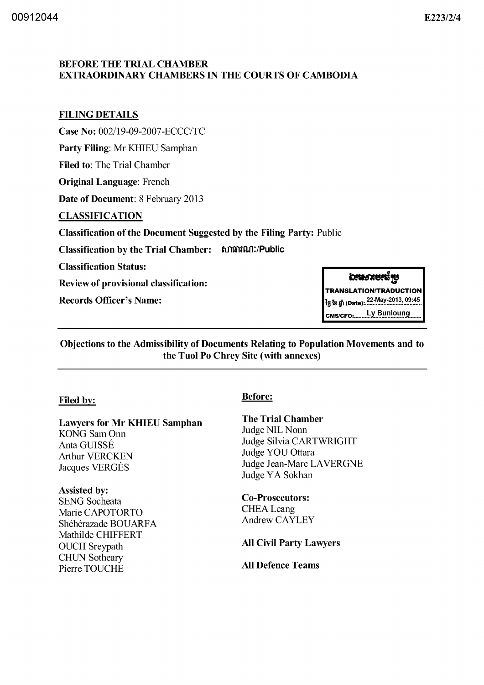#### **BEFORE THE TRIAL CHAMBER EXTRAORDINARY CHAMBERS IN THE COURTS OF CAMBODIA**

## **FILING DETAILS**

Case No: 002/19-09-2007-ECCC/TC

Party Filing: Mr KHIEU Samphan

**Filed to: The Trial Chamber** 

**Original Language: French** 

Date of Document: 8 February 2013

### **CLASSIFICATION**

**Classification of the Document Suggested by the Filing Party: Public** 

**Classification by the Trial Chamber:** សាធារណ:/Public

**Classification Status:** 

**Review of provisional classification:** 

**Records Officer's Name:** 

# อระราชรรัฐ

**TRANSLATION/TRADUCTION** ້າອຸການ 22-May-2013, 09:45<br>- ຜູ້ ໂຍ ກູ້າ (Date): ແລະ ແລະ ແລະ 2013, 09:45 Ly Bunloung CMS/CFO:..

Objections to the Admissibility of Documents Relating to Population Movements and to the Tuol Po Chrey Site (with annexes)

### **Filed by:**

**Lawyers for Mr KHIEU Samphan KONG Sam Onn** Anta GUISSÉ **Arthur VERCKEN** Jacques VERGÈS

### **Assisted by:**

**SENG** Socheata Marie CAPOTORTO Shéhérazade BOUARFA Mathilde CHIFFERT **OUCH** Sreypath **CHUN Sotheary** Pierre TOUCHE

### **Before:**

**The Trial Chamber** Judge NIL Nonn Judge Silvia CARTWRIGHT Judge YOU Ottara Judge Jean-Marc LAVERGNE Judge YA Sokhan

**Co-Prosecutors: CHEA** Leang Andrew CAYLEY

**All Civil Party Lawyers** 

**All Defence Teams**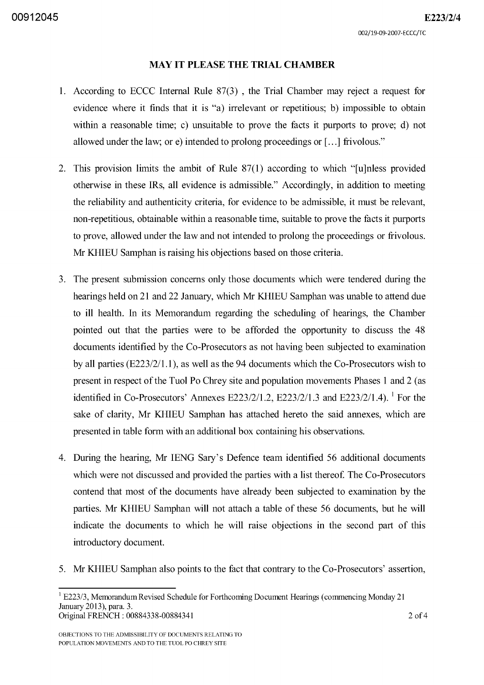#### **MAY IT PLEASE THE TRIAL CHAMBER**

- 1. According to ECCC Internal Rule 87(3) , the Trial Chamber may reject a request for evidence where it finds that it is "a) irrelevant or repetitious; b) impossible to obtain within a reasonable time; c) unsuitable to prove the facts it purports to prove; d) not allowed under the law; or e) intended to prolong proceedings or [ ... J frivolous."
- 2. This provision limits the ambit of Rule  $87(1)$  according to which "[u]nless provided otherwise in these IRs, all evidence is admissible." Accordingly, in addition to meeting the reliability and authenticity criteria, for evidence to be admissible, it must be relevant, non-repetitious, obtainable within a reasonable time, suitable to prove the facts it purports to prove, allowed under the law and not intended to prolong the proceedings or frivolous. Mr KHIEU Samphan is raising his objections based on those criteria.
- 3. The present submission concerns only those documents which were tendered during the hearings held on 21 and 22 January, which Mr KHIEU Samphan was unable to attend due to **ill** health. In its Memorandum regarding the scheduling of hearings, the Chamber pointed out that the parties were to be afforded the opportunity to discuss the 48 documents identified by the Co-Prosecutors as not having been subjected to examination by all parties (E223/2/l.1), as well as the 94 documents which the Co-Prosecutors wish to present in respect of the Tuol Po Chrey site and population movements Phases 1 and 2 (as identified in Co-Prosecutors' Annexes E223/2/1.2, E223/2/1.3 and E223/2/1.4). <sup>1</sup> For the sake of clarity, Mr KHIEU Samphan has attached hereto the said annexes, which are presented in table form with an additional box containing his observations.
- 4. During the hearing, Mr IENG Sary's Defence team identified 56 additional documents which were not discussed and provided the parties with a list thereof. The Co-Prosecutors contend that most of the documents have already been subjected to examination by the parties. Mr KHIEU Samphan will not attach a table of these 56 documents, but he will indicate the documents to which he will raise objections in the second part of this introductory document.
- 5. Mr KHIEU Samphan also points to the fact that contrary to the Co-Prosecutors' assertion,

OBJECTIONS TO THE ADMISSIBILITY OF DOCUMENTS RELATING TO POPULATION MOVEMENTS AND TO THE TUOL PO CHREY SITE

 $1$  E223/3, Memorandum Revised Schedule for Forthcoming Document Hearings (commencing Monday 21 January 20l3), para. 3. Original FRENCH: 00884338-00884341 2 of 4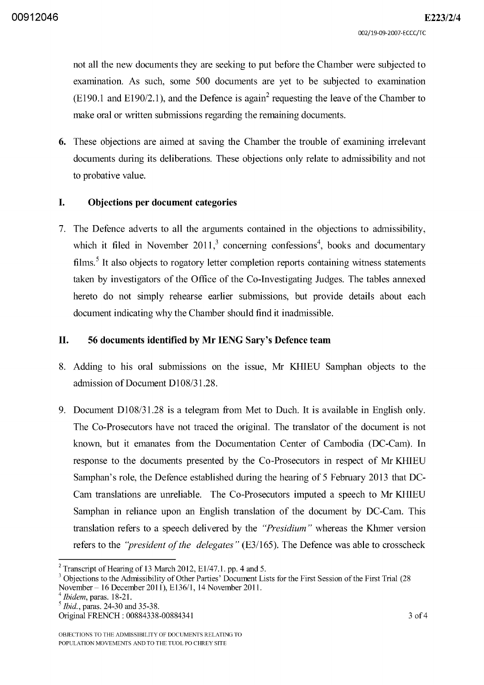not all the new documents they are seeking to put before the Chamber were subjected to examination. As such, some 500 documents are yet to be subjected to examination  $(E190.1$  and  $E190/2.1$ ), and the Defence is again<sup>2</sup> requesting the leave of the Chamber to make oral or written submissions regarding the remaining documents.

6. These objections are aimed at saving the Chamber the trouble of examining irrelevant documents during its deliberations. These objections only relate to admissibility and not to probative value.

#### I. Objections per document categories

7. The Defence adverts to all the arguments contained in the objections to admissibility, which it filed in November 2011,<sup>3</sup> concerning confessions<sup>4</sup>, books and documentary films.<sup>5</sup> It also objects to rogatory letter completion reports containing witness statements taken by investigators of the Office of the Co-Investigating Judges. The tables annexed hereto do not simply rehearse earlier submissions, but provide details about each document indicating why the Chamber should find it inadmissible.

#### II. 56 documents identified by Mr IENG Sary's Defence team

- 8. Adding to his oral submissions on the issue, Mr KHIEU Samphan objects to the admission of Document D108/31.28.
- 9. Document *D108/31.28* is a telegram from Met to Duch. It is available in English only. The Co-Prosecutors have not traced the original. The translator of the document is not known, but it emanates from the Documentation Center of Cambodia (DC-Cam). In response to the documents presented by the Co-Prosecutors in respect of Mr KHIEU Samphan's role, the Defence established during the hearing of 5 February 2013 that DC-Cam translations are unreliable. The Co-Prosecutors imputed a speech to Mr KHIEU Samphan in reliance upon an English translation of the document by DC-Cam. This translation refers to a speech delivered by the *"Presidium"* whereas the Khmer version refers to the *"president of the delegates"* (E3/165). The Defence was able to crosscheck

<sup>4</sup>*Ibidem,* paras. 18-21.

OBJECTIONS TO THE ADMISSIBILITY OF DOCUMENTS RELATING TO POPULATION MOVEMENTS AND TO THE TUOL PO CHREY SITE

<sup>&</sup>lt;sup>2</sup> Transcript of Hearing of 13 March 2012, E1/47.1. pp. 4 and 5.

<sup>&</sup>lt;sup>3</sup> Objections to the Admissibility of Other Parties' Document Lists for the First Session of the First Trial (28 November- 16 December 2011), E136/1, 14 November 2011.

*<sup>5</sup> Ibid.,* paras. 24-30 and 35-38.

Original FRENCH: 00884338-00884341 3 of 4